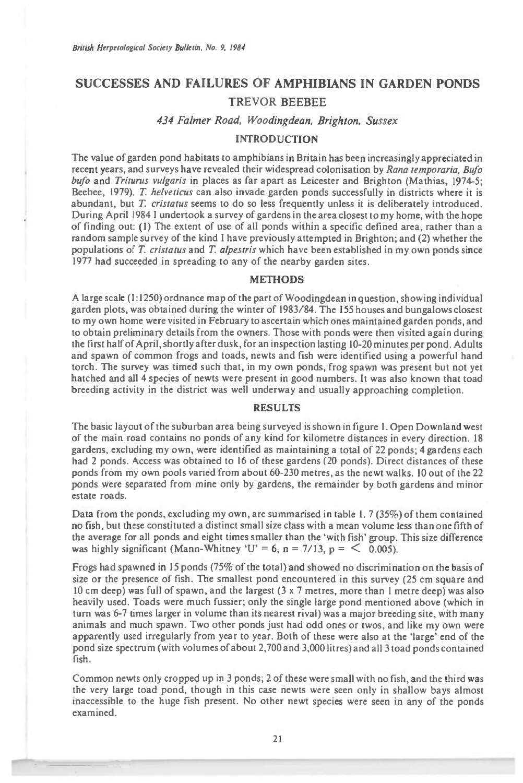# **SUCCESSES AND FAILURES OF AMPHIBIANS IN GARDEN PONDS TREVOR BEEBEE**

#### 434 Falmer Road, Woodingdean, Brighton, Sussex

## INTRODUCTION

The value of garden pond habitats to amphibians in Britain has been increasingly appreciated in recent years, and surveys have revealed their widespread colonisation by *Rana temporaria,* Bufo bufo and *Triturus vulgaris* in places as far apart as Leicester and Brighton (Mathias, 1974-5; *Beebee,* 1979). *T helveticus* can also invade garden ponds successfully in districts where it is abundant, but *T. cristatus* seems to do so less frequently unless it is deliberately introduced. During April 1984 I undertook a survey of gardens in the area closest to my home, with the hope of finding out: (1) The extent of use of all ponds within a specific defined area, rather than a random sample survey of the kind I have previously attempted in Brighton; and (2) whether the populations of T *cristatus* and T *alpestris* which have been established in my own ponds since 1977 had succeeded in spreading to any of the nearby garden sites.

### METHODS

A large scale (1:1250) ordnance map of the part of Woodingdean in question, showing individual garden plots, was obtained during the winter of 1983/84. The 155 houses and bungalows closest to my own home were visited in February to ascertain which ones maintained garden ponds, and to obtain preliminary details from the owners. Those with ponds were then visited again during the first half of April, shortly after dusk, for an inspection lasting 10-20 minutes per pond. Adults and spawn of common frogs and toads, newts and fish were identified using a powerful hand torch. The survey was timed such that, in my own ponds, frog spawn was present but not yet hatched and all 4 species of newts were present in good numbers. It was also known that toad breeding activity in the district was well underway and usually approaching completion.

#### RESULTS

The basic layout of the suburban area being surveyed is shown in figure 1. Open Downland west of the main road contains no ponds of any kind for kilometre distances in every direction. 18 gardens, excluding my own, were identified as maintaining a total of 22 ponds; 4 gardens *each*  had 2 ponds. Access was obtained to 16 of these gardens (20 ponds). Direct distances of these ponds from my own pools varied from about 60-230 metres, as the newt walks. 10 out of the 22 ponds were separated from mine only by gardens, the remainder by both gardens and minor estate roads.

Data from the ponds, excluding my own, are summarised in table 1. 7 (35%) of them contained no fish, but these constituted a distinct small size class with a mean volume less than one fifth of the average for all ponds and eight times smaller than the 'with fish' group. This size difference was highly significant (Mann-Whitney 'U' = 6, n = 7/13, p =  $\leq$  0.005).

Frogs had spawned in 15 ponds (75% of the total) and showed no discrimination on the basis of size or the presence of fish. The smallest pond encountered in this survey (25 cm square and 10 cm deep) was full of spawn, and the largest (3 x 7 metres, more than 1 metre deep) was also heavily used. Toads were much fussier; only the single large pond mentioned above (which in turn was 6-7 times larger in volume than its nearest rival) was a major breeding site, with many animals and much spawn. Two other ponds just had odd ones or twos, and like my own were apparently used irregularly from year to year. Both of these were also at the 'large' end of the pond size spectrum (with volumes of about 2,700 and 3,000 litres) and all 3 toad ponds contained fish.

Common newts only cropped up in 3 ponds, 2 of these were small with no fish, and the third was the very large toad pond, though in this case newts were seen only in shallow bays almost inaccessible to the huge fish present. No other newt species were seen in any of the ponds examined.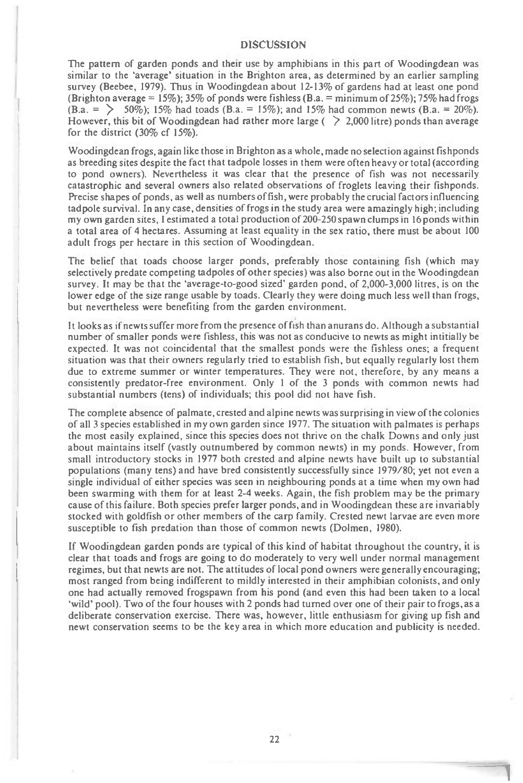#### **DISCUSSION**

The pattern of garden ponds and their use by amphibians in this part of Woodingdean was similar to the 'average' situation in the Brighton area, as determined by an earlier sampling survey (Beebee, 1979). Thus in Woodingdean about 12-13% of gardens had at least one pond (Brighton average = 15%); 35% of ponds were fishless (B.a. = minimum of 25%); 75% had frogs  $(B.a. = \{50\%)$ ; 15% had toads  $(B.a. = 15\%)$ ; and 15% had common newts  $(B.a. = 20\%)$ . However, this bit of Woodingdean had rather more large ( $\geq 2,000$  litre) ponds than average for the district (30% cf 15%).

Woodingdean frogs, again like those in Brighton as a whole, made no selection against fishponds as breeding sites despite the fact that tadpole losses in them were often heavy or total (according to pond owners). Nevertheless it was clear that the presence of fish was not necessarily catastrophic and several owners also related observations of froglets leaving their fishponds. Precise shapes of ponds, as well as numbers of fish, were probably the crucial factors influencing tadpole survival. In any case, densities of frogs in the study area were amazingly high; including my own garden sites, I estimated a total production of 200-250 spawn clumps in 16 ponds within a total area of 4 hectares. Assuming at least equality in the sex ratio, there must be about 100 adult frogs per hectare in this section of Woodingdean.

The belief that toads choose larger ponds, preferably those containing fish (which may selectively predate competing tadpoles of other species) was also borne out in the Woodingdean survey. It may be that the 'average-to-good sized' garden pond, of 2,000-3,000 litres, is on the lower edge of the size range usable by toads. Clearly they were doing much less well than frogs, but nevertheless were benefiting from the garden environment.

It looks as if newts suffer more from the presence of fish than anurans do. Although a substantial number of smaller ponds were fishless, this was not as conducive to newts as might intitially be expected. It was not coincidental that the smallest ponds were the fishless ones; a frequent situation was that their owners regularly tried to establish fish, but equally regularly lost them due to extreme summer or winter temperatures. They were not, therefore, by any means a consistently predator-free environment. Only 1 of the 3 ponds with common newts had substantial numbers (tens) of individuals; this pool did not have fish.

The complete absence of palmate, crested and alpine newts was surprising in view of the colonies of all 3 species established in my own garden since 1977. The situation with palmates is perhaps the most easily explained, since this species does not thrive on the chalk Downs and only just about maintains itself (vastly outnumbered by common newts) in my ponds. However, from small introductory stocks in 1977 both crested and alpine newts have built up to substantial populations (many tens) and have bred consistently successfully since 1979/80; yet not even a single individual of either species was seen in neighbouring ponds at a time when my own had been swarming with them for at least 2-4 weeks. Again, the fish problem may be the primary cause of this failure. Both species prefer larger ponds, and in Woodingdean these are invariably stocked with goldfish or other members of the carp family. Crested newt larvae are even more susceptible to fish predation than those of common newts (Dolmen, 1980).

If Woodingdean garden ponds are typical of this kind of habitat throughout the country, it is clear that toads and frogs are going to do moderately to very well under normal management regimes, but that newts are not. The attitudes of local pond owners were generally encouraging; most ranged from being indifferent to mildly interested in their amphibian colonists, and only one had actually removed frogspawn from his pond (and even this had been taken to a local 'wild' pool). Two of the four houses with 2 ponds had turned over one of their pair to frogs, as a deliberate conservation exercise. There was, however, little enthusiasm for giving up fish and newt conservation seems to be the key area in which more education and publicity is needed.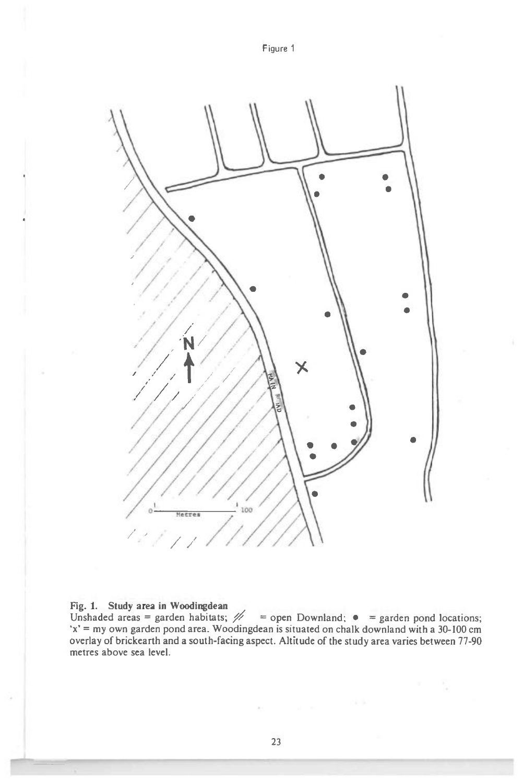

#### **Fig. 1. Study area in Woodingdean**

Fig. 1. Study area in woodingdean<br>Unshaded areas = garden habitats;  $\mathcal{U}$  = open Downland;  $\bullet$  = garden pond locations; 'x' = my own garden pond area. Woodingdean is situated on chalk downland with a 30-100 cm overlay of brickearth and a south-facing aspect. Altitude of the study area varies between 77-90 metres above sea level.